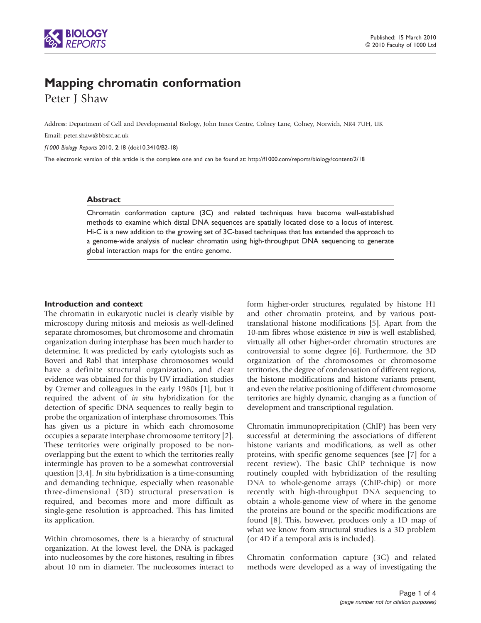

# Mapping chromatin conformation

Peter J Shaw

Address: Department of Cell and Developmental Biology, John Innes Centre, Colney Lane, Colney, Norwich, NR4 7UH, UK

Email: [peter.shaw@bbsrc.ac.uk](mailto:peter.shaw@bbsrc.ac.uk)

f1000 Biology Reports 2010, 2:18 (doi:10.3410/B2-18)

The electronic version of this article is the complete one and can be found at:<http://f1000.com/reports/biology/content/2/18>

#### Abstract

Chromatin conformation capture (3C) and related techniques have become well-established methods to examine which distal DNA sequences are spatially located close to a locus of interest. Hi-C is a new addition to the growing set of 3C-based techniques that has extended the approach to a genome-wide analysis of nuclear chromatin using high-throughput DNA sequencing to generate global interaction maps for the entire genome.

## Introduction and context

The chromatin in eukaryotic nuclei is clearly visible by microscopy during mitosis and meiosis as well-defined separate chromosomes, but chromosome and chromatin organization during interphase has been much harder to determine. It was predicted by early cytologists such as Boveri and Rabl that interphase chromosomes would have a definite structural organization, and clear evidence was obtained for this by UV irradiation studies by Cremer and colleagues in the early 1980s [[1](#page-2-0)], but it required the advent of in situ hybridization for the detection of specific DNA sequences to really begin to probe the organization of interphase chromosomes. This has given us a picture in which each chromosome occupies a separate interphase chromosome territory [\[2\]](#page-2-0). These territories were originally proposed to be nonoverlapping but the extent to which the territories really intermingle has proven to be a somewhat controversial question [\[3,4\]](#page-2-0). In situ hybridization is a time-consuming and demanding technique, especially when reasonable three-dimensional (3D) structural preservation is required, and becomes more and more difficult as single-gene resolution is approached. This has limited its application.

Within chromosomes, there is a hierarchy of structural organization. At the lowest level, the DNA is packaged into nucleosomes by the core histones, resulting in fibres about 10 nm in diameter. The nucleosomes interact to

form higher-order structures, regulated by histone H1 and other chromatin proteins, and by various posttranslational histone modifications [[5](#page-2-0)]. Apart from the 10-nm fibres whose existence in vivo is well established, virtually all other higher-order chromatin structures are controversial to some degree [\[6](#page-2-0)]. Furthermore, the 3D organization of the chromosomes or chromosome territories, the degree of condensation of different regions, the histone modifications and histone variants present, and even the relative positioning of different chromosome territories are highly dynamic, changing as a function of development and transcriptional regulation.

Chromatin immunoprecipitation (ChIP) has been very successful at determining the associations of different histone variants and modifications, as well as other proteins, with specific genome sequences (see [\[7\]](#page-2-0) for a recent review). The basic ChIP technique is now routinely coupled with hybridization of the resulting DNA to whole-genome arrays (ChIP-chip) or more recently with high-throughput DNA sequencing to obtain a whole-genome view of where in the genome the proteins are bound or the specific modifications are found [\[8\]](#page-2-0). This, however, produces only a 1D map of what we know from structural studies is a 3D problem (or 4D if a temporal axis is included).

Chromatin conformation capture (3C) and related methods were developed as a way of investigating the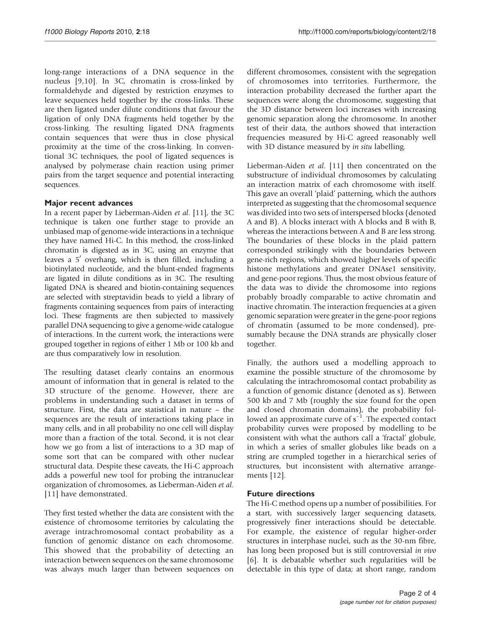long-range interactions of a DNA sequence in the nucleus [\[9,10](#page-2-0)]. In 3C, chromatin is cross-linked by formaldehyde and digested by restriction enzymes to leave sequences held together by the cross-links. These are then ligated under dilute conditions that favour the ligation of only DNA fragments held together by the cross-linking. The resulting ligated DNA fragments contain sequences that were thus in close physical proximity at the time of the cross-linking. In conventional 3C techniques, the pool of ligated sequences is analysed by polymerase chain reaction using primer pairs from the target sequence and potential interacting sequences.

## Major recent advances

In a recent paper by Lieberman-Aiden et al. [[11\]](#page-2-0), the 3C technique is taken one further stage to provide an unbiased map of genome-wide interactions in a technique they have named Hi-C. In this method, the cross-linked chromatin is digested as in 3C, using an enzyme that leaves a  $5'$  overhang, which is then filled, including a biotinylated nucleotide, and the blunt-ended fragments are ligated in dilute conditions as in 3C. The resulting ligated DNA is sheared and biotin-containing sequences are selected with streptavidin beads to yield a library of fragments containing sequences from pairs of interacting loci. These fragments are then subjected to massively parallel DNA sequencing to give a genome-wide catalogue of interactions. In the current work, the interactions were grouped together in regions of either 1 Mb or 100 kb and are thus comparatively low in resolution.

The resulting dataset clearly contains an enormous amount of information that in general is related to the 3D structure of the genome. However, there are problems in understanding such a dataset in terms of structure. First, the data are statistical in nature – the sequences are the result of interactions taking place in many cells, and in all probability no one cell will display more than a fraction of the total. Second, it is not clear how we go from a list of interactions to a 3D map of some sort that can be compared with other nuclear structural data. Despite these caveats, the Hi-C approach adds a powerful new tool for probing the intranuclear organization of chromosomes, as Lieberman-Aiden et al. [\[11](#page-2-0)] have demonstrated.

They first tested whether the data are consistent with the existence of chromosome territories by calculating the average intrachromosomal contact probability as a function of genomic distance on each chromosome. This showed that the probability of detecting an interaction between sequences on the same chromosome was always much larger than between sequences on

different chromosomes, consistent with the segregation of chromosomes into territories. Furthermore, the interaction probability decreased the further apart the sequences were along the chromosome, suggesting that the 3D distance between loci increases with increasing genomic separation along the chromosome. In another test of their data, the authors showed that interaction frequencies measured by Hi-C agreed reasonably well with 3D distance measured by *in situ* labelling.

Lieberman-Aiden et al. [[11\]](#page-2-0) then concentrated on the substructure of individual chromosomes by calculating an interaction matrix of each chromosome with itself. This gave an overall 'plaid' patterning, which the authors interpreted as suggesting that the chromosomal sequence was divided into two sets of interspersed blocks (denoted A and B). A blocks interact with A blocks and B with B, whereas the interactions between A and B are less strong. The boundaries of these blocks in the plaid pattern corresponded strikingly with the boundaries between gene-rich regions, which showed higher levels of specific histone methylations and greater DNAse1 sensitivity, and gene-poor regions. Thus, the most obvious feature of the data was to divide the chromosome into regions probably broadly comparable to active chromatin and inactive chromatin. The interaction frequencies at a given genomic separation were greater in the gene-poor regions of chromatin (assumed to be more condensed), presumably because the DNA strands are physically closer together.

Finally, the authors used a modelling approach to examine the possible structure of the chromosome by calculating the intrachromosomal contact probability as a function of genomic distance (denoted as s). Between 500 kb and 7 Mb (roughly the size found for the open and closed chromatin domains), the probability followed an approximate curve of s<sup>-1</sup>. The expected contact probability curves were proposed by modelling to be consistent with what the authors call a 'fractal' globule, in which a series of smaller globules like beads on a string are crumpled together in a hierarchical series of structures, but inconsistent with alternative arrangements [\[12](#page-2-0)].

## Future directions

The Hi-C method opens up a number of possibilities. For a start, with successively larger sequencing datasets, progressively finer interactions should be detectable. For example, the existence of regular higher-order structures in interphase nuclei, such as the 30-nm fibre, has long been proposed but is still controversial in vivo [\[6\]](#page-2-0). It is debatable whether such regularities will be detectable in this type of data; at short range, random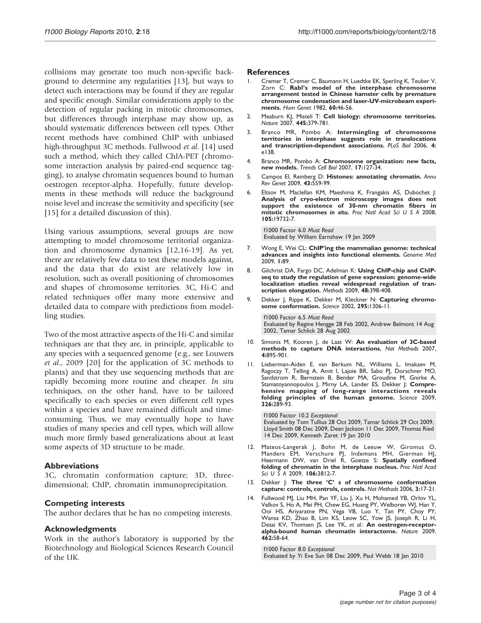<span id="page-2-0"></span>collisions may generate too much non-specific background to determine any regularities [13], but ways to detect such interactions may be found if they are regular and specific enough. Similar considerations apply to the detection of regular packing in mitotic chromosomes, but differences through interphase may show up, as should systematic differences between cell types. Other recent methods have combined ChIP with unbiased high-throughput 3C methods. Fullwood et al. [14] used such a method, which they called ChIA-PET (chromosome interaction analysis by paired-end sequence tagging), to analyse chromatin sequences bound to human oestrogen receptor-alpha. Hopefully, future developments in these methods will reduce the background noise level and increase the sensitivity and specificity (see [\[15](#page-3-0)] for a detailed discussion of this).

Using various assumptions, several groups are now attempting to model chromosome territorial organization and chromosome dynamics [12[,16-19](#page-3-0)]. As yet, there are relatively few data to test these models against, and the data that do exist are relatively low in resolution, such as overall positioning of chromosomes and shapes of chromosome territories. 3C, Hi-C and related techniques offer many more extensive and detailed data to compare with predictions from modelling studies.

Two of the most attractive aspects of the Hi-C and similar techniques are that they are, in principle, applicable to any species with a sequenced genome (e.g., see Louwers et al., 2009 [\[20](#page-3-0)] for the application of 3C methods to plants) and that they use sequencing methods that are rapidly becoming more routine and cheaper. In situ techniques, on the other hand, have to be tailored specifically to each species or even different cell types within a species and have remained difficult and timeconsuming. Thus, we may eventually hope to have studies of many species and cell types, which will allow much more firmly based generalizations about at least some aspects of 3D structure to be made.

## Abbreviations

3C, chromatin conformation capture; 3D, threedimensional; ChIP, chromatin immunoprecipitation.

### Competing interests

The author declares that he has no competing interests.

### Acknowledgments

Work in the author's laboratory is supported by the Biotechnology and Biological Sciences Research Council of the UK.

#### **References**

- 1. Cremer T, Cremer C, Baumann H, Luedtke EK, Sperling K, Teuber V, Zorn C: Rabl's model of the interphase chromosome arrangement tested in Chinese hamster cells by premature chromosome condensation and laser-UV-microbeam experiments. Hum Genet 1982, 60:46-56.
- 2. Meaburn KJ, Misteli T: Cell biology: chromosome territories. Nature 2007, 445:379-781.
- 3. Branco MR, Pombo A: Intermingling of chromosome territories in interphase suggests role in translocations and transcription-dependent associations. PLoS Biol 2006, 4: e138.
- 4. Branco MR, Pombo A: Chromosome organization: new facts, new models. Trends Cell Biol 2007, 17:127-34.
- 5. Campos El, Reinberg D: Histones: annotating chromatin. Annu Rev Genet 2009, 43:559-99.
- Eltsov M, Maclellan KM, Maeshima K, Frangakis AS, Dubochet J: Analysis of cryo-electron microscopy images does not support the existence of 30-nm chromatin fibers in mitotic chromosomes in situ. Proc Natl Acad Sci U S A 2008, 105:19732-7.

[f1000 Factor 6.0](http://www.f1000biology.com/article/id/1144933) Must Read Evaluated by William Earnshaw 19 Jan 2009

- 7. Wong E, Wei CL: ChIP'ing the mammalian genome: technical advances and insights into functional elements. Genome Med 2009, 1:89.
- 8. Gilchrist DA, Fargo DC, Adelman K: Using ChIP-chip and ChIPseq to study the regulation of gene expression: genome-wide localization studies reveal widespread regulation of transcription elongation. Methods 2009, 48:398-408.
- 9. Dekker J, Rippe K, Dekker M, Kleckner N: Capturing chromosome conformation. Science 2002, 295:1306-11.

[f1000 Factor 6.5](http://www.f1000biology.com/article/id/1004548) Must Read Evaluated by Regine Hengge 28 Feb 2002, Andrew Belmont 14 Aug 2002, Tamar Schlick 28 Aug 2002

- 10. Simonis M, Kooren J, de Laat W: An evaluation of 3C-based methods to capture DNA interactions. Nat Methods 2007, 4:895-901.
- 11. Lieberman-Aiden E, van Berkum NL, Williams L, Imakaev M, Ragoczy T, Telling A, Amit I, Lajoie BR, Sabo PJ, Dorschner MO, Sandstrom R, Bernstein B, Bender MA, Groudine M, Gnirke A, Stamatoyannopoulos J, Mirny LA, Lander ES, Dekker J: Comprehensive mapping of long-range interactions reveals folding principles of the human genome. Science 2009, 326:289-93.

[f1000 Factor 10.2](http://www.f1000biology.com/article/id/1165575) Exceptional Evaluated by Tom Tullius 28 Oct 2009, Tamar Schlick 29 Oct 2009, Lloyd Smith 08 Dec 2009, Dean Jackson 11 Dec 2009, Thomas Ried 14 Dec 2009, Kenneth Zaret 19 Jan 2010

- 12. Mateos-Langerak J, Bohn M, de Leeuw W, Giromus O, Manders EM, Verschure PJ, Indemans MH, Gierman HJ, Heermann DW, van Driel R, Goetze S: Spatially confined folding of chromatin in the interphase nucleus. Proc Natl Acad Sci U S A 2009, 106:3812-7.
- 13. Dekker J: The three 'C' s of chromosome conformation capture: controls, controls, controls. Nat Methods 2006, 3:17-21.
- 14. Fullwood MJ, Liu MH, Pan YF, Liu J, Xu H, Mohamed YB, Orlov YL, Velkov S, Ho A, Mei PH, Chew EG, Huang PY, Welboren WJ, Han Y, Ooi HS, Ariyaratne PN, Vega VB, Luo Y, Tan PY, Choy PY, Wansa KD, Zhao B, Lim KS, Leow SC, Yow JS, Joseph R, Li H, Desai KV, Thomsen JS, Lee YK, et al.: An oestrogen-receptoralpha-bound human chromatin interactome. Nature 2009, 462:58-64.

[f1000 Factor 8.0](http://www.f1000biology.com/article/id/1256956) Exceptional Evaluated by Yi Eve Sun 08 Dec 2009, Paul Webb 18 Jan 2010